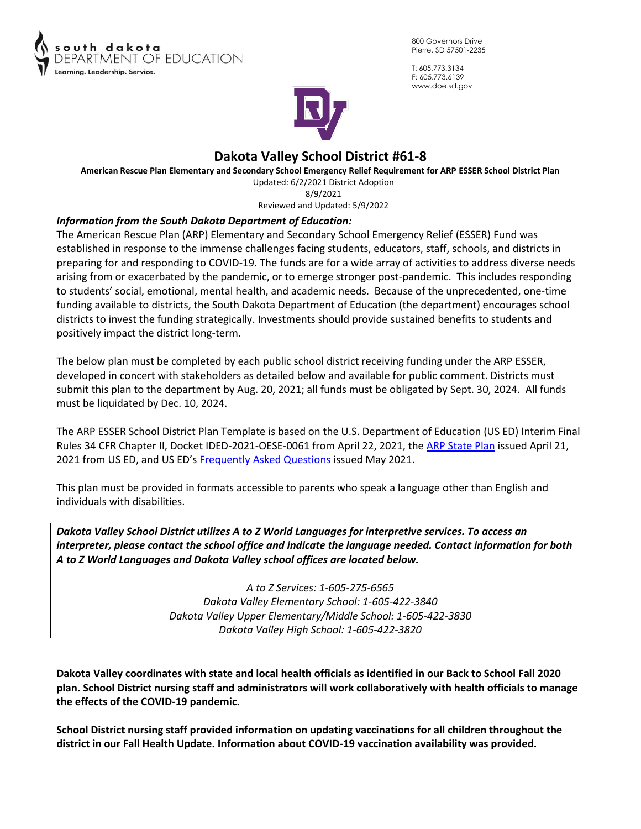

800 Governors Drive Pierre, SD 57501-2235

T: 605.773.3134 F: 605.773.6139 www.doe.sd.gov



# **Dakota Valley School District #61-8**

**American Rescue Plan Elementary and Secondary School Emergency Relief Requirement for ARP ESSER School District Plan** Updated: 6/2/2021 District Adoption 8/9/2021

Reviewed and Updated: 5/9/2022

## *Information from the South Dakota Department of Education:*

The American Rescue Plan (ARP) Elementary and Secondary School Emergency Relief (ESSER) Fund was established in response to the immense challenges facing students, educators, staff, schools, and districts in preparing for and responding to COVID-19. The funds are for a wide array of activities to address diverse needs arising from or exacerbated by the pandemic, or to emerge stronger post-pandemic. This includes responding to students' social, emotional, mental health, and academic needs. Because of the unprecedented, one-time funding available to districts, the South Dakota Department of Education (the department) encourages school districts to invest the funding strategically. Investments should provide sustained benefits to students and positively impact the district long-term.

The below plan must be completed by each public school district receiving funding under the ARP ESSER, developed in concert with stakeholders as detailed below and available for public comment. Districts must submit this plan to the department by Aug. 20, 2021; all funds must be obligated by Sept. 30, 2024. All funds must be liquidated by Dec. 10, 2024.

The ARP ESSER School District Plan Template is based on the U.S. Department of Education (US ED) Interim Final Rules 34 CFR Chapter II, Docket IDED-2021-OESE-0061 from April 22, 2021, the [ARP State Plan](https://oese.ed.gov/files/2021/04/ARP-ESSER-State-Plan-Template-04-20-2021_130PM.pdf) issued April 21, 2021 from US ED, and US ED's [Frequently Asked Questions](https://oese.ed.gov/files/2021/05/ESSER.GEER_.FAQs_5.26.21_745AM_FINALb0cd6833f6f46e03ba2d97d30aff953260028045f9ef3b18ea602db4b32b1d99.pdf) issued May 2021.

This plan must be provided in formats accessible to parents who speak a language other than English and individuals with disabilities.

*Dakota Valley School District utilizes A to Z World Languages for interpretive services. To access an interpreter, please contact the school office and indicate the language needed. Contact information for both A to Z World Languages and Dakota Valley school offices are located below.* 

> *A to Z Services: 1-605-275-6565 Dakota Valley Elementary School: 1-605-422-3840 Dakota Valley Upper Elementary/Middle School: 1-605-422-3830 Dakota Valley High School: 1-605-422-3820*

**Dakota Valley coordinates with state and local health officials as identified in our Back to School Fall 2020 plan. School District nursing staff and administrators will work collaboratively with health officials to manage the effects of the COVID-19 pandemic.** 

**School District nursing staff provided information on updating vaccinations for all children throughout the district in our Fall Health Update. Information about COVID-19 vaccination availability was provided.**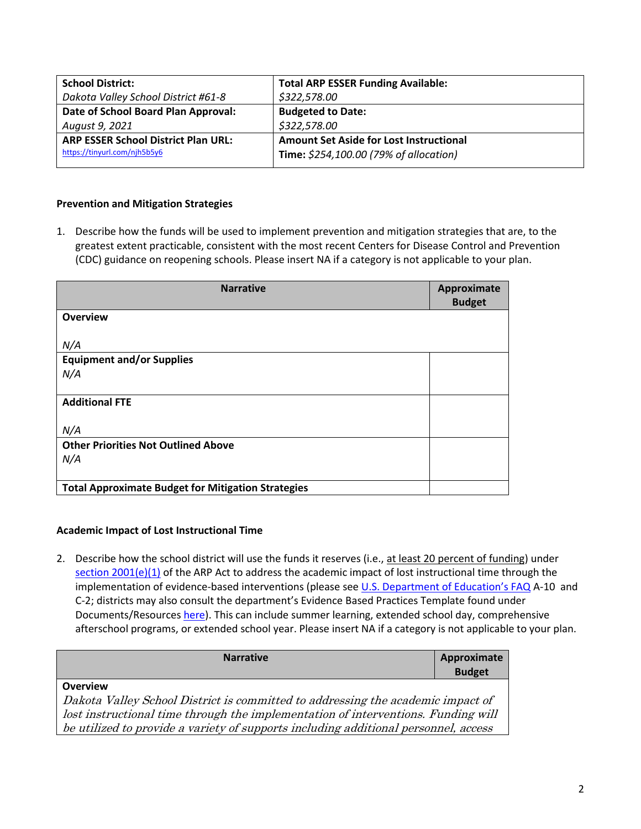| <b>School District:</b>                    | <b>Total ARP ESSER Funding Available:</b>      |
|--------------------------------------------|------------------------------------------------|
| Dakota Valley School District #61-8        | \$322,578.00                                   |
| Date of School Board Plan Approval:        | <b>Budgeted to Date:</b>                       |
| August 9, 2021                             | \$322,578.00                                   |
| <b>ARP ESSER School District Plan URL:</b> | <b>Amount Set Aside for Lost Instructional</b> |
| https://tinyurl.com/njh5b5y6               | Time: \$254,100.00 (79% of allocation)         |
|                                            |                                                |

## **Prevention and Mitigation Strategies**

1. Describe how the funds will be used to implement prevention and mitigation strategies that are, to the greatest extent practicable, consistent with the most recent Centers for Disease Control and Prevention (CDC) guidance on reopening schools. Please insert NA if a category is not applicable to your plan.

| <b>Narrative</b>                                          | Approximate<br><b>Budget</b> |
|-----------------------------------------------------------|------------------------------|
| <b>Overview</b>                                           |                              |
|                                                           |                              |
| N/A                                                       |                              |
| <b>Equipment and/or Supplies</b>                          |                              |
| N/A                                                       |                              |
|                                                           |                              |
| <b>Additional FTE</b>                                     |                              |
|                                                           |                              |
| N/A                                                       |                              |
| <b>Other Priorities Not Outlined Above</b>                |                              |
| N/A                                                       |                              |
|                                                           |                              |
| <b>Total Approximate Budget for Mitigation Strategies</b> |                              |

## **Academic Impact of Lost Instructional Time**

2. Describe how the school district will use the funds it reserves (i.e., at least 20 percent of funding) under [section 2001\(e\)\(1\)](https://www.congress.gov/bill/117th-congress/house-bill/1319/text#H02072C413F7244519FA5BB241E54A282) of the ARP Act to address the academic impact of lost instructional time through the implementation of evidence-based interventions (please see *[U.S. Department of Education's FAQ](https://oese.ed.gov/files/2021/05/ESSER.GEER_.FAQs_5.26.21_745AM_FINALb0cd6833f6f46e03ba2d97d30aff953260028045f9ef3b18ea602db4b32b1d99.pdf) A-10* and C-2; districts may also consult the department's Evidence Based Practices Template found under Documents/Resource[s here\)](https://doe.sd.gov/title/schoolimprovement.aspx). This can include summer learning, extended school day, comprehensive afterschool programs, or extended school year. Please insert NA if a category is not applicable to your plan.

| <b>Narrative</b>                                                                    | Approximate<br><b>Budget</b> |
|-------------------------------------------------------------------------------------|------------------------------|
| <b>Overview</b>                                                                     |                              |
| Dakota Valley School District is committed to addressing the academic impact of     |                              |
| lost instructional time through the implementation of interventions. Funding will   |                              |
| be utilized to provide a variety of supports including additional personnel, access |                              |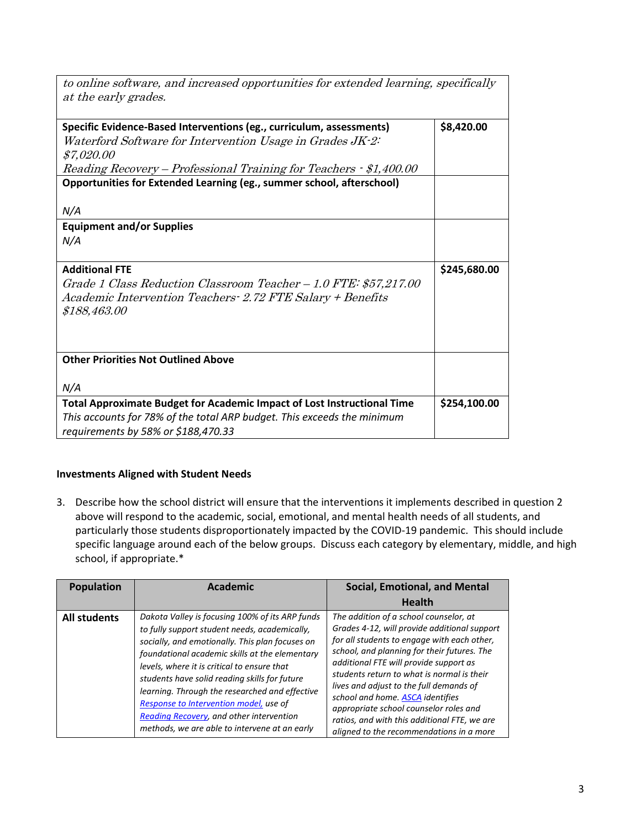| to online software, and increased opportunities for extended learning, specifically<br>at the early grades. |              |
|-------------------------------------------------------------------------------------------------------------|--------------|
| Specific Evidence-Based Interventions (eg., curriculum, assessments)                                        | \$8,420.00   |
| Waterford Software for Intervention Usage in Grades JK-2:                                                   |              |
| \$7,020.00                                                                                                  |              |
| Reading Recovery – Professional Training for Teachers · \$1,400.00                                          |              |
| Opportunities for Extended Learning (eg., summer school, afterschool)                                       |              |
| N/A                                                                                                         |              |
| <b>Equipment and/or Supplies</b>                                                                            |              |
| N/A                                                                                                         |              |
|                                                                                                             |              |
| <b>Additional FTE</b>                                                                                       | \$245,680.00 |
| Grade 1 Class Reduction Classroom Teacher - 1.0 FTE: \$57,217.00                                            |              |
| Academic Intervention Teachers - 2.72 FTE Salary + Benefits                                                 |              |
| \$188,463.00                                                                                                |              |
|                                                                                                             |              |
|                                                                                                             |              |
| <b>Other Priorities Not Outlined Above</b>                                                                  |              |
|                                                                                                             |              |
| N/A                                                                                                         |              |
| Total Approximate Budget for Academic Impact of Lost Instructional Time                                     | \$254,100.00 |
| This accounts for 78% of the total ARP budget. This exceeds the minimum                                     |              |
| requirements by 58% or \$188,470.33                                                                         |              |

## **Investments Aligned with Student Needs**

3. Describe how the school district will ensure that the interventions it implements described in question 2 above will respond to the academic, social, emotional, and mental health needs of all students, and particularly those students disproportionately impacted by the COVID-19 pandemic. This should include specific language around each of the below groups. Discuss each category by elementary, middle, and high school, if appropriate.\*

| <b>Population</b>   | <b>Academic</b>                                                                                                                                                                                                                                                                                                                                                                                                                                                                                | <b>Social, Emotional, and Mental</b>                                                                                                                                                                                                                                                                                                                                                                                                                                                                     |
|---------------------|------------------------------------------------------------------------------------------------------------------------------------------------------------------------------------------------------------------------------------------------------------------------------------------------------------------------------------------------------------------------------------------------------------------------------------------------------------------------------------------------|----------------------------------------------------------------------------------------------------------------------------------------------------------------------------------------------------------------------------------------------------------------------------------------------------------------------------------------------------------------------------------------------------------------------------------------------------------------------------------------------------------|
|                     |                                                                                                                                                                                                                                                                                                                                                                                                                                                                                                | <b>Health</b>                                                                                                                                                                                                                                                                                                                                                                                                                                                                                            |
| <b>All students</b> | Dakota Valley is focusing 100% of its ARP funds<br>to fully support student needs, academically,<br>socially, and emotionally. This plan focuses on<br>foundational academic skills at the elementary<br>levels, where it is critical to ensure that<br>students have solid reading skills for future<br>learning. Through the researched and effective<br>Response to Intervention model, use of<br>Reading Recovery, and other intervention<br>methods, we are able to intervene at an early | The addition of a school counselor, at<br>Grades 4-12, will provide additional support<br>for all students to engage with each other,<br>school, and planning for their futures. The<br>additional FTE will provide support as<br>students return to what is normal is their<br>lives and adjust to the full demands of<br>school and home. <b>ASCA</b> identifies<br>appropriate school counselor roles and<br>ratios, and with this additional FTE, we are<br>aligned to the recommendations in a more |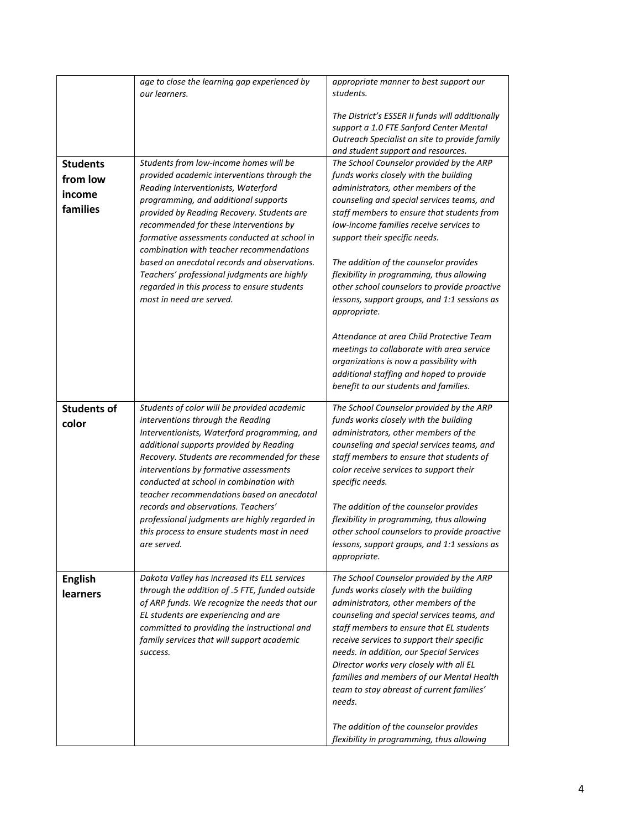|                    | age to close the learning gap experienced by<br>our learners.                                   | appropriate manner to best support our<br>students.                                                                                                                               |
|--------------------|-------------------------------------------------------------------------------------------------|-----------------------------------------------------------------------------------------------------------------------------------------------------------------------------------|
|                    |                                                                                                 | The District's ESSER II funds will additionally<br>support a 1.0 FTE Sanford Center Mental<br>Outreach Specialist on site to provide family<br>and student support and resources. |
| <b>Students</b>    | Students from low-income homes will be                                                          | The School Counselor provided by the ARP                                                                                                                                          |
| from low           | provided academic interventions through the                                                     | funds works closely with the building                                                                                                                                             |
|                    | Reading Interventionists, Waterford                                                             | administrators, other members of the                                                                                                                                              |
| income             | programming, and additional supports                                                            | counseling and special services teams, and                                                                                                                                        |
| families           | provided by Reading Recovery. Students are                                                      | staff members to ensure that students from                                                                                                                                        |
|                    | recommended for these interventions by                                                          | low-income families receive services to                                                                                                                                           |
|                    | formative assessments conducted at school in                                                    | support their specific needs.                                                                                                                                                     |
|                    | combination with teacher recommendations                                                        |                                                                                                                                                                                   |
|                    | based on anecdotal records and observations.                                                    | The addition of the counselor provides                                                                                                                                            |
|                    | Teachers' professional judgments are highly                                                     | flexibility in programming, thus allowing                                                                                                                                         |
|                    | regarded in this process to ensure students                                                     | other school counselors to provide proactive                                                                                                                                      |
|                    | most in need are served.                                                                        | lessons, support groups, and 1:1 sessions as                                                                                                                                      |
|                    |                                                                                                 | appropriate.                                                                                                                                                                      |
|                    |                                                                                                 | Attendance at area Child Protective Team                                                                                                                                          |
|                    |                                                                                                 | meetings to collaborate with area service                                                                                                                                         |
|                    |                                                                                                 | organizations is now a possibility with                                                                                                                                           |
|                    |                                                                                                 | additional staffing and hoped to provide                                                                                                                                          |
|                    |                                                                                                 | benefit to our students and families.                                                                                                                                             |
| <b>Students of</b> | Students of color will be provided academic                                                     | The School Counselor provided by the ARP                                                                                                                                          |
|                    | interventions through the Reading                                                               | funds works closely with the building                                                                                                                                             |
| color              | Interventionists, Waterford programming, and                                                    | administrators, other members of the                                                                                                                                              |
|                    | additional supports provided by Reading                                                         | counseling and special services teams, and                                                                                                                                        |
|                    | Recovery. Students are recommended for these                                                    | staff members to ensure that students of                                                                                                                                          |
|                    | interventions by formative assessments                                                          | color receive services to support their                                                                                                                                           |
|                    | conducted at school in combination with                                                         | specific needs.                                                                                                                                                                   |
|                    | teacher recommendations based on anecdotal                                                      |                                                                                                                                                                                   |
|                    | records and observations. Teachers'                                                             | The addition of the counselor provides                                                                                                                                            |
|                    | professional judgments are highly regarded in<br>this process to ensure students most in need   | flexibility in programming, thus allowing<br>other school counselors to provide proactive                                                                                         |
|                    | are served.                                                                                     | lessons, support groups, and 1:1 sessions as                                                                                                                                      |
|                    |                                                                                                 | appropriate.                                                                                                                                                                      |
|                    |                                                                                                 |                                                                                                                                                                                   |
| <b>English</b>     | Dakota Valley has increased its ELL services                                                    | The School Counselor provided by the ARP                                                                                                                                          |
| learners           | through the addition of .5 FTE, funded outside<br>of ARP funds. We recognize the needs that our | funds works closely with the building<br>administrators, other members of the                                                                                                     |
|                    | EL students are experiencing and are                                                            | counseling and special services teams, and                                                                                                                                        |
|                    | committed to providing the instructional and                                                    | staff members to ensure that EL students                                                                                                                                          |
|                    | family services that will support academic                                                      | receive services to support their specific                                                                                                                                        |
|                    | success.                                                                                        | needs. In addition, our Special Services                                                                                                                                          |
|                    |                                                                                                 | Director works very closely with all EL                                                                                                                                           |
|                    |                                                                                                 | families and members of our Mental Health                                                                                                                                         |
|                    |                                                                                                 | team to stay abreast of current families'                                                                                                                                         |
|                    |                                                                                                 | needs.                                                                                                                                                                            |
|                    |                                                                                                 |                                                                                                                                                                                   |
|                    |                                                                                                 | The addition of the counselor provides<br>flexibility in programming, thus allowing                                                                                               |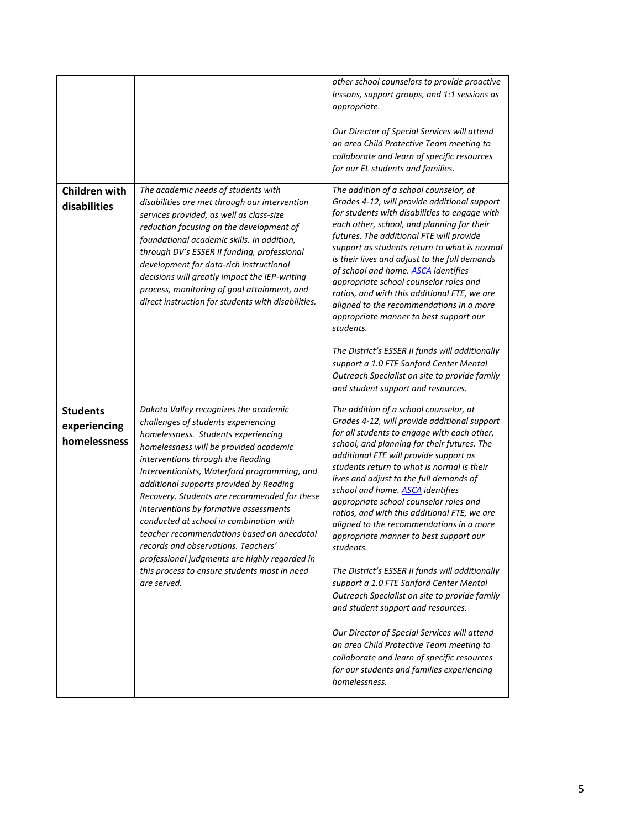|                                      |                                                                                                                                                                                                                                                                                                                                                                                                                                                                                                                                                                                                | other school counselors to provide proactive<br>lessons, support groups, and 1:1 sessions as<br>appropriate.<br>Our Director of Special Services will attend<br>an area Child Protective Team meeting to<br>collaborate and learn of specific resources<br>for our EL students and families.                                                                                                                                                                                                                                                                                                                                                                                                                                                                       |
|--------------------------------------|------------------------------------------------------------------------------------------------------------------------------------------------------------------------------------------------------------------------------------------------------------------------------------------------------------------------------------------------------------------------------------------------------------------------------------------------------------------------------------------------------------------------------------------------------------------------------------------------|--------------------------------------------------------------------------------------------------------------------------------------------------------------------------------------------------------------------------------------------------------------------------------------------------------------------------------------------------------------------------------------------------------------------------------------------------------------------------------------------------------------------------------------------------------------------------------------------------------------------------------------------------------------------------------------------------------------------------------------------------------------------|
| <b>Children with</b><br>disabilities | The academic needs of students with<br>disabilities are met through our intervention<br>services provided, as well as class-size<br>reduction focusing on the development of<br>foundational academic skills. In addition,<br>through DV's ESSER II funding, professional<br>development for data-rich instructional<br>decisions will greatly impact the IEP-writing<br>process, monitoring of goal attainment, and<br>direct instruction for students with disabilities.                                                                                                                     | The addition of a school counselor, at<br>Grades 4-12, will provide additional support<br>for students with disabilities to engage with<br>each other, school, and planning for their<br>futures. The additional FTE will provide<br>support as students return to what is normal<br>is their lives and adjust to the full demands<br>of school and home. <b>ASCA</b> identifies<br>appropriate school counselor roles and<br>ratios, and with this additional FTE, we are<br>aligned to the recommendations in a more<br>appropriate manner to best support our<br>students.<br>The District's ESSER II funds will additionally<br>support a 1.0 FTE Sanford Center Mental<br>Outreach Specialist on site to provide family<br>and student support and resources. |
| <b>Students</b>                      | Dakota Valley recognizes the academic                                                                                                                                                                                                                                                                                                                                                                                                                                                                                                                                                          | The addition of a school counselor, at                                                                                                                                                                                                                                                                                                                                                                                                                                                                                                                                                                                                                                                                                                                             |
| experiencing<br>homelessness         | challenges of students experiencing<br>homelessness. Students experiencing<br>homelessness will be provided academic<br>interventions through the Reading<br>Interventionists, Waterford programming, and<br>additional supports provided by Reading<br>Recovery. Students are recommended for these<br>interventions by formative assessments<br>conducted at school in combination with<br>teacher recommendations based on anecdotal<br>records and observations. Teachers'<br>professional judgments are highly regarded in<br>this process to ensure students most in need<br>are served. | Grades 4-12, will provide additional support<br>for all students to engage with each other,<br>school, and planning for their futures. The<br>additional FTE will provide support as<br>students return to what is normal is their<br>lives and adjust to the full demands of<br>school and home. <b>ASCA</b> identifies<br>appropriate school counselor roles and<br>ratios, and with this additional FTE, we are<br>aligned to the recommendations in a more<br>appropriate manner to best support our<br>students.<br>The District's ESSER II funds will additionally<br>support a 1.0 FTE Sanford Center Mental<br>Outreach Specialist on site to provide family<br>and student support and resources.<br>Our Director of Special Services will attend         |
|                                      |                                                                                                                                                                                                                                                                                                                                                                                                                                                                                                                                                                                                | an area Child Protective Team meeting to<br>collaborate and learn of specific resources<br>for our students and families experiencing<br>homelessness.                                                                                                                                                                                                                                                                                                                                                                                                                                                                                                                                                                                                             |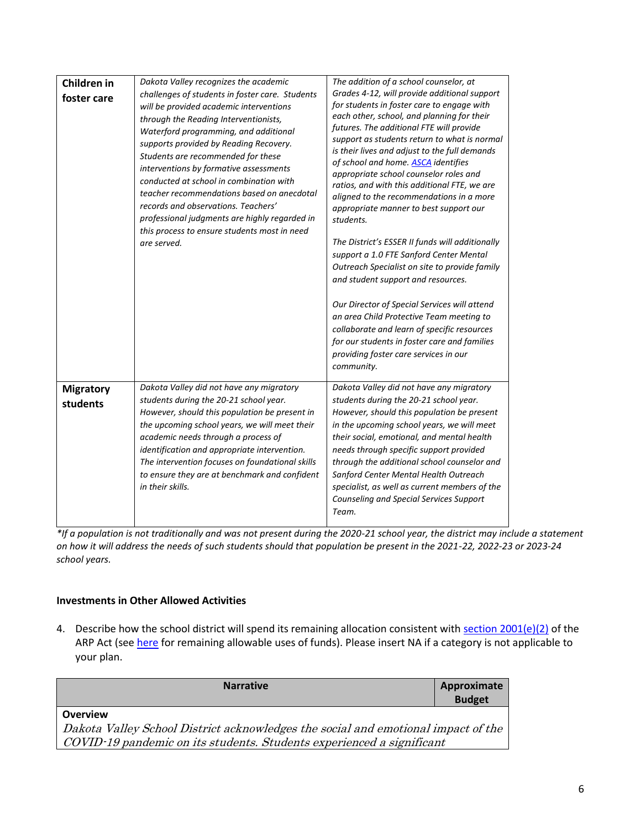| Children in<br>foster care   | Dakota Valley recognizes the academic<br>challenges of students in foster care. Students<br>will be provided academic interventions<br>through the Reading Interventionists,<br>Waterford programming, and additional<br>supports provided by Reading Recovery.<br>Students are recommended for these<br>interventions by formative assessments<br>conducted at school in combination with<br>teacher recommendations based on anecdotal<br>records and observations. Teachers'<br>professional judgments are highly regarded in<br>this process to ensure students most in need<br>are served. | The addition of a school counselor, at<br>Grades 4-12, will provide additional support<br>for students in foster care to engage with<br>each other, school, and planning for their<br>futures. The additional FTE will provide<br>support as students return to what is normal<br>is their lives and adjust to the full demands<br>of school and home. <b>ASCA</b> identifies<br>appropriate school counselor roles and<br>ratios, and with this additional FTE, we are<br>aligned to the recommendations in a more<br>appropriate manner to best support our<br>students.<br>The District's ESSER II funds will additionally<br>support a 1.0 FTE Sanford Center Mental<br>Outreach Specialist on site to provide family<br>and student support and resources.<br>Our Director of Special Services will attend<br>an area Child Protective Team meeting to<br>collaborate and learn of specific resources<br>for our students in foster care and families<br>providing foster care services in our<br>community. |
|------------------------------|-------------------------------------------------------------------------------------------------------------------------------------------------------------------------------------------------------------------------------------------------------------------------------------------------------------------------------------------------------------------------------------------------------------------------------------------------------------------------------------------------------------------------------------------------------------------------------------------------|-------------------------------------------------------------------------------------------------------------------------------------------------------------------------------------------------------------------------------------------------------------------------------------------------------------------------------------------------------------------------------------------------------------------------------------------------------------------------------------------------------------------------------------------------------------------------------------------------------------------------------------------------------------------------------------------------------------------------------------------------------------------------------------------------------------------------------------------------------------------------------------------------------------------------------------------------------------------------------------------------------------------|
| <b>Migratory</b><br>students | Dakota Valley did not have any migratory<br>students during the 20-21 school year.<br>However, should this population be present in<br>the upcoming school years, we will meet their<br>academic needs through a process of<br>identification and appropriate intervention.<br>The intervention focuses on foundational skills<br>to ensure they are at benchmark and confident<br>in their skills.                                                                                                                                                                                             | Dakota Valley did not have any migratory<br>students during the 20-21 school year.<br>However, should this population be present<br>in the upcoming school years, we will meet<br>their social, emotional, and mental health<br>needs through specific support provided<br>through the additional school counselor and<br>Sanford Center Mental Health Outreach<br>specialist, as well as current members of the<br>Counseling and Special Services Support<br>Team.                                                                                                                                                                                                                                                                                                                                                                                                                                                                                                                                              |

*\*If a population is not traditionally and was not present during the 2020-21 school year, the district may include a statement on how it will address the needs of such students should that population be present in the 2021-22, 2022-23 or 2023-24 school years.*

## **Investments in Other Allowed Activities**

4. Describe how the school district will spend its remaining allocation consistent wit[h section 2001\(e\)\(2\)](https://www.congress.gov/bill/117th-congress/house-bill/1319/text#H1C1CA7B872894DE0B325C5BB06991BB8) of the ARP Act (see [here](https://www.congress.gov/bill/117th-congress/house-bill/1319/text#H1C1CA7B872894DE0B325C5BB06991BB8) for remaining allowable uses of funds). Please insert NA if a category is not applicable to your plan.

| <b>Narrative</b>                                                                  | Approximate<br><b>Budget</b> |  |
|-----------------------------------------------------------------------------------|------------------------------|--|
| <b>Overview</b>                                                                   |                              |  |
| Dakota Valley School District acknowledges the social and emotional impact of the |                              |  |
| COVID-19 pandemic on its students. Students experienced a significant             |                              |  |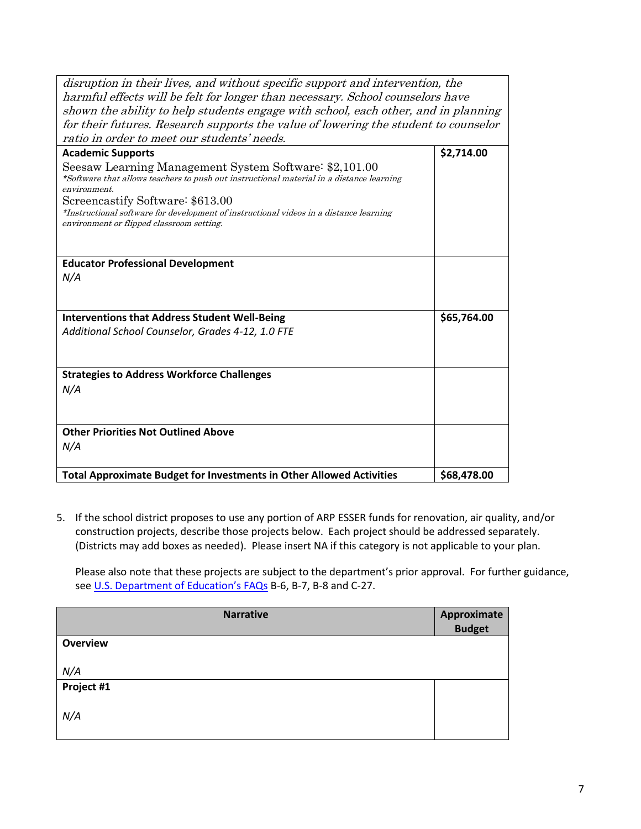| disruption in their lives, and without specific support and intervention, the<br>harmful effects will be felt for longer than necessary. School counselors have<br>shown the ability to help students engage with school, each other, and in planning |             |
|-------------------------------------------------------------------------------------------------------------------------------------------------------------------------------------------------------------------------------------------------------|-------------|
| for their futures. Research supports the value of lowering the student to counselor                                                                                                                                                                   |             |
| ratio in order to meet our students' needs.                                                                                                                                                                                                           |             |
| <b>Academic Supports</b>                                                                                                                                                                                                                              | \$2,714.00  |
| Seesaw Learning Management System Software: \$2,101.00<br>*Software that allows teachers to push out instructional material in a distance learning<br>environment.                                                                                    |             |
| Screencastify Software: \$613.00                                                                                                                                                                                                                      |             |
| *Instructional software for development of instructional videos in a distance learning                                                                                                                                                                |             |
| environment or flipped classroom setting.                                                                                                                                                                                                             |             |
|                                                                                                                                                                                                                                                       |             |
| <b>Educator Professional Development</b>                                                                                                                                                                                                              |             |
| N/A                                                                                                                                                                                                                                                   |             |
|                                                                                                                                                                                                                                                       |             |
|                                                                                                                                                                                                                                                       |             |
| <b>Interventions that Address Student Well-Being</b>                                                                                                                                                                                                  | \$65,764.00 |
| Additional School Counselor, Grades 4-12, 1.0 FTE                                                                                                                                                                                                     |             |
|                                                                                                                                                                                                                                                       |             |
|                                                                                                                                                                                                                                                       |             |
| <b>Strategies to Address Workforce Challenges</b>                                                                                                                                                                                                     |             |
| N/A                                                                                                                                                                                                                                                   |             |
|                                                                                                                                                                                                                                                       |             |
|                                                                                                                                                                                                                                                       |             |
| <b>Other Priorities Not Outlined Above</b>                                                                                                                                                                                                            |             |
| N/A                                                                                                                                                                                                                                                   |             |
|                                                                                                                                                                                                                                                       |             |
| <b>Total Approximate Budget for Investments in Other Allowed Activities</b>                                                                                                                                                                           | \$68,478.00 |

5. If the school district proposes to use any portion of ARP ESSER funds for renovation, air quality, and/or construction projects, describe those projects below. Each project should be addressed separately. (Districts may add boxes as needed). Please insert NA if this category is not applicable to your plan.

Please also note that these projects are subject to the department's prior approval. For further guidance, see [U.S. Department of Education's FAQs](https://oese.ed.gov/files/2021/05/ESSER.GEER_.FAQs_5.26.21_745AM_FINALb0cd6833f6f46e03ba2d97d30aff953260028045f9ef3b18ea602db4b32b1d99.pdf) B-6, B-7, B-8 and C-27.

| Approximate   |
|---------------|
| <b>Budget</b> |
|               |
|               |
|               |
|               |
|               |
|               |
|               |
|               |
|               |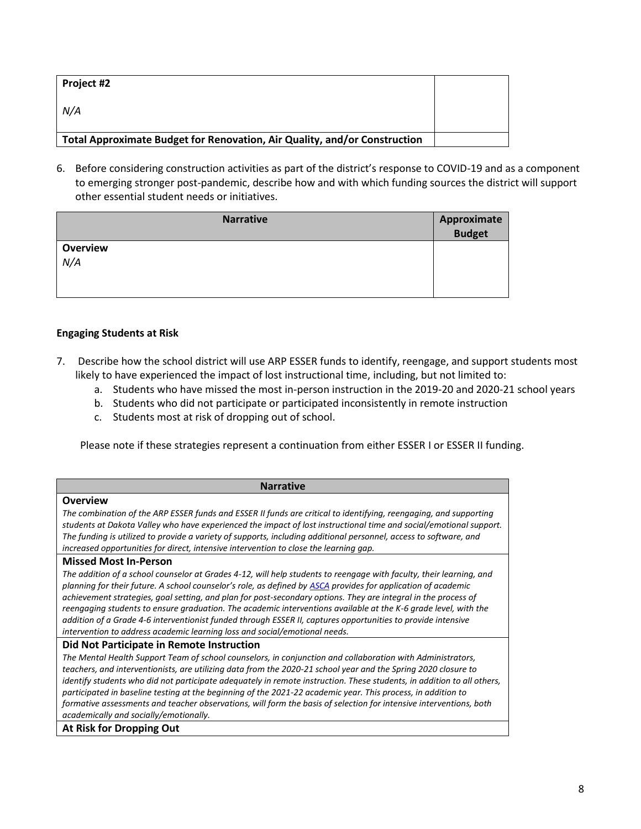| Project #2                                                                |  |
|---------------------------------------------------------------------------|--|
| N/A                                                                       |  |
|                                                                           |  |
| Total Approximate Budget for Renovation, Air Quality, and/or Construction |  |

6. Before considering construction activities as part of the district's response to COVID-19 and as a component to emerging stronger post-pandemic, describe how and with which funding sources the district will support other essential student needs or initiatives.

| <b>Narrative</b>       | Approximate<br>Budget |
|------------------------|-----------------------|
| <b>Overview</b><br>N/A |                       |

## **Engaging Students at Risk**

- 7. Describe how the school district will use ARP ESSER funds to identify, reengage, and support students most likely to have experienced the impact of lost instructional time, including, but not limited to:
	- a. Students who have missed the most in-person instruction in the 2019-20 and 2020-21 school years
	- b. Students who did not participate or participated inconsistently in remote instruction
	- c. Students most at risk of dropping out of school.

Please note if these strategies represent a continuation from either ESSER I or ESSER II funding.

| <b>Narrative</b>                                                                                                                                                                                                                |
|---------------------------------------------------------------------------------------------------------------------------------------------------------------------------------------------------------------------------------|
| <b>Overview</b>                                                                                                                                                                                                                 |
| The combination of the ARP ESSER funds and ESSER II funds are critical to identifying, reengaging, and supporting                                                                                                               |
| students at Dakota Valley who have experienced the impact of lost instructional time and social/emotional support.                                                                                                              |
| The funding is utilized to provide a variety of supports, including additional personnel, access to software, and                                                                                                               |
| increased opportunities for direct, intensive intervention to close the learning gap.                                                                                                                                           |
| <b>Missed Most In-Person</b>                                                                                                                                                                                                    |
| The addition of a school counselor at Grades 4-12, will help students to reengage with faculty, their learning, and                                                                                                             |
| planning for their future. A school counselor's role, as defined by ASCA provides for application of academic                                                                                                                   |
| achievement strategies, goal setting, and plan for post-secondary options. They are integral in the process of                                                                                                                  |
| reengaging students to ensure graduation. The academic interventions available at the K-6 grade level, with the<br>addition of a Grade 4-6 interventionist funded through ESSER II, captures opportunities to provide intensive |
| intervention to address academic learning loss and social/emotional needs.                                                                                                                                                      |
| Did Not Participate in Remote Instruction                                                                                                                                                                                       |
| The Mental Health Support Team of school counselors, in conjunction and collaboration with Administrators,                                                                                                                      |
| teachers, and interventionists, are utilizing data from the 2020-21 school year and the Spring 2020 closure to                                                                                                                  |
| identify students who did not participate adequately in remote instruction. These students, in addition to all others,                                                                                                          |
| participated in baseline testing at the beginning of the 2021-22 academic year. This process, in addition to                                                                                                                    |
| formative assessments and teacher observations, will form the basis of selection for intensive interventions, both                                                                                                              |
| academically and socially/emotionally.                                                                                                                                                                                          |
| At Risk for Dropping Out                                                                                                                                                                                                        |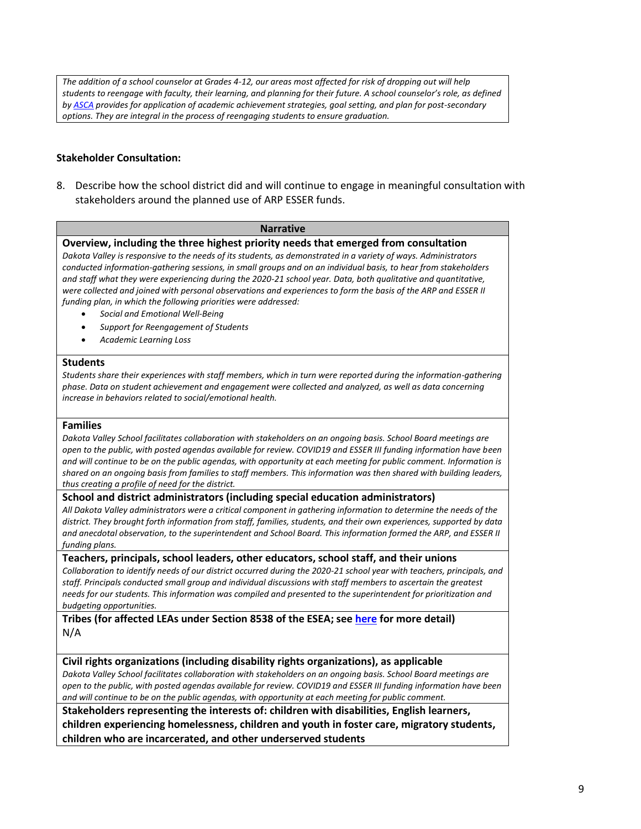*The addition of a school counselor at Grades 4-12, our areas most affected for risk of dropping out will help students to reengage with faculty, their learning, and planning for their future. A school counselor's role, as defined b[y ASCA](https://www.schoolcounselor.org/getmedia/ee8b2e1b-d021-4575-982c-c84402cb2cd2/Role-Statement.pdf) provides for application of academic achievement strategies, goal setting, and plan for post-secondary options. They are integral in the process of reengaging students to ensure graduation.* 

### **Stakeholder Consultation:**

8. Describe how the school district did and will continue to engage in meaningful consultation with stakeholders around the planned use of ARP ESSER funds.

#### **Narrative**

**Overview, including the three highest priority needs that emerged from consultation**

*Dakota Valley is responsive to the needs of its students, as demonstrated in a variety of ways. Administrators conducted information-gathering sessions, in small groups and on an individual basis, to hear from stakeholders and staff what they were experiencing during the 2020-21 school year. Data, both qualitative and quantitative, were collected and joined with personal observations and experiences to form the basis of the ARP and ESSER II funding plan, in which the following priorities were addressed:*

- *Social and Emotional Well-Being*
- *Support for Reengagement of Students*
- *Academic Learning Loss*

### **Students**

*Students share their experiences with staff members, which in turn were reported during the information-gathering phase. Data on student achievement and engagement were collected and analyzed, as well as data concerning increase in behaviors related to social/emotional health.* 

#### **Families**

*Dakota Valley School facilitates collaboration with stakeholders on an ongoing basis. School Board meetings are open to the public, with posted agendas available for review. COVID19 and ESSER III funding information have been and will continue to be on the public agendas, with opportunity at each meeting for public comment. Information is shared on an ongoing basis from families to staff members. This information was then shared with building leaders, thus creating a profile of need for the district.* 

#### **School and district administrators (including special education administrators)**

*All Dakota Valley administrators were a critical component in gathering information to determine the needs of the district. They brought forth information from staff, families, students, and their own experiences, supported by data and anecdotal observation, to the superintendent and School Board. This information formed the ARP, and ESSER II funding plans.* 

#### **Teachers, principals, school leaders, other educators, school staff, and their unions**

*Collaboration to identify needs of our district occurred during the 2020-21 school year with teachers, principals, and staff. Principals conducted small group and individual discussions with staff members to ascertain the greatest needs for our students. This information was compiled and presented to the superintendent for prioritization and budgeting opportunities.* 

**Tribes (for affected LEAs under Section 8538 of the ESEA; see [here](https://doe.sd.gov/title/documents/Tribal-Cons-Guid-2020.pdf) for more detail)** N/A

### **Civil rights organizations (including disability rights organizations), as applicable**

*Dakota Valley School facilitates collaboration with stakeholders on an ongoing basis. School Board meetings are open to the public, with posted agendas available for review. COVID19 and ESSER III funding information have been and will continue to be on the public agendas, with opportunity at each meeting for public comment.* 

**Stakeholders representing the interests of: children with disabilities, English learners, children experiencing homelessness, children and youth in foster care, migratory students, children who are incarcerated, and other underserved students**